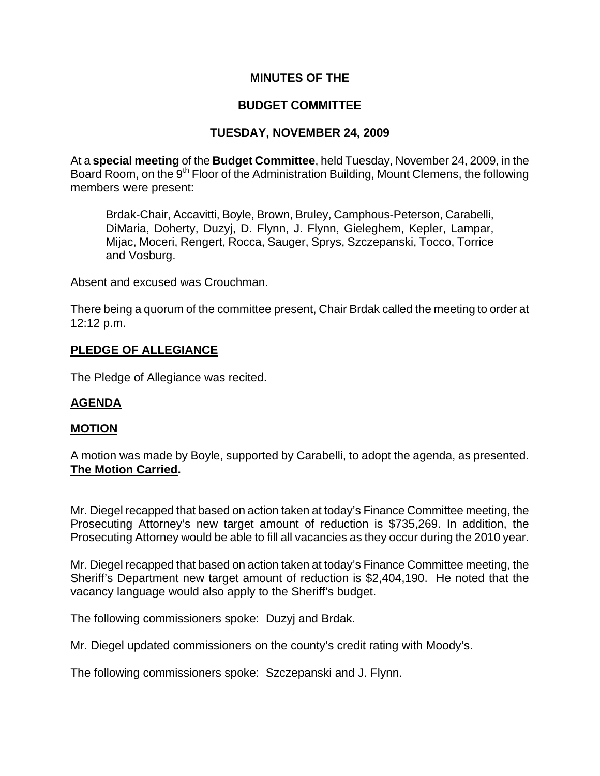# **MINUTES OF THE**

# **BUDGET COMMITTEE**

# **TUESDAY, NOVEMBER 24, 2009**

At a **special meeting** of the **Budget Committee**, held Tuesday, November 24, 2009, in the Board Room, on the 9<sup>th</sup> Floor of the Administration Building, Mount Clemens, the following members were present:

Brdak-Chair, Accavitti, Boyle, Brown, Bruley, Camphous-Peterson, Carabelli, DiMaria, Doherty, Duzyj, D. Flynn, J. Flynn, Gieleghem, Kepler, Lampar, Mijac, Moceri, Rengert, Rocca, Sauger, Sprys, Szczepanski, Tocco, Torrice and Vosburg.

Absent and excused was Crouchman.

There being a quorum of the committee present, Chair Brdak called the meeting to order at 12:12 p.m.

## **PLEDGE OF ALLEGIANCE**

The Pledge of Allegiance was recited.

## **AGENDA**

#### **MOTION**

A motion was made by Boyle, supported by Carabelli, to adopt the agenda, as presented. **The Motion Carried.** 

Mr. Diegel recapped that based on action taken at today's Finance Committee meeting, the Prosecuting Attorney's new target amount of reduction is \$735,269. In addition, the Prosecuting Attorney would be able to fill all vacancies as they occur during the 2010 year.

Mr. Diegel recapped that based on action taken at today's Finance Committee meeting, the Sheriff's Department new target amount of reduction is \$2,404,190. He noted that the vacancy language would also apply to the Sheriff's budget.

The following commissioners spoke: Duzyj and Brdak.

Mr. Diegel updated commissioners on the county's credit rating with Moody's.

The following commissioners spoke: Szczepanski and J. Flynn.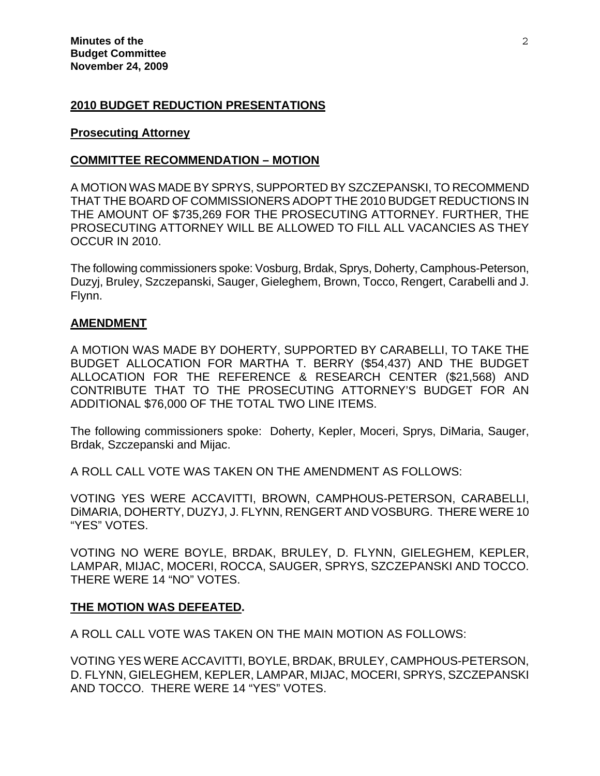#### **2010 BUDGET REDUCTION PRESENTATIONS**

#### **Prosecuting Attorney**

#### **COMMITTEE RECOMMENDATION – MOTION**

A MOTION WAS MADE BY SPRYS, SUPPORTED BY SZCZEPANSKI, TO RECOMMEND THAT THE BOARD OF COMMISSIONERS ADOPT THE 2010 BUDGET REDUCTIONS IN THE AMOUNT OF \$735,269 FOR THE PROSECUTING ATTORNEY. FURTHER, THE PROSECUTING ATTORNEY WILL BE ALLOWED TO FILL ALL VACANCIES AS THEY OCCUR IN 2010.

The following commissioners spoke: Vosburg, Brdak, Sprys, Doherty, Camphous-Peterson, Duzyj, Bruley, Szczepanski, Sauger, Gieleghem, Brown, Tocco, Rengert, Carabelli and J. Flynn.

#### **AMENDMENT**

A MOTION WAS MADE BY DOHERTY, SUPPORTED BY CARABELLI, TO TAKE THE BUDGET ALLOCATION FOR MARTHA T. BERRY (\$54,437) AND THE BUDGET ALLOCATION FOR THE REFERENCE & RESEARCH CENTER (\$21,568) AND CONTRIBUTE THAT TO THE PROSECUTING ATTORNEY'S BUDGET FOR AN ADDITIONAL \$76,000 OF THE TOTAL TWO LINE ITEMS.

The following commissioners spoke: Doherty, Kepler, Moceri, Sprys, DiMaria, Sauger, Brdak, Szczepanski and Mijac.

A ROLL CALL VOTE WAS TAKEN ON THE AMENDMENT AS FOLLOWS:

VOTING YES WERE ACCAVITTI, BROWN, CAMPHOUS-PETERSON, CARABELLI, DiMARIA, DOHERTY, DUZYJ, J. FLYNN, RENGERT AND VOSBURG. THERE WERE 10 "YES" VOTES.

VOTING NO WERE BOYLE, BRDAK, BRULEY, D. FLYNN, GIELEGHEM, KEPLER, LAMPAR, MIJAC, MOCERI, ROCCA, SAUGER, SPRYS, SZCZEPANSKI AND TOCCO. THERE WERE 14 "NO" VOTES.

#### **THE MOTION WAS DEFEATED.**

A ROLL CALL VOTE WAS TAKEN ON THE MAIN MOTION AS FOLLOWS:

VOTING YES WERE ACCAVITTI, BOYLE, BRDAK, BRULEY, CAMPHOUS-PETERSON, D. FLYNN, GIELEGHEM, KEPLER, LAMPAR, MIJAC, MOCERI, SPRYS, SZCZEPANSKI AND TOCCO. THERE WERE 14 "YES" VOTES.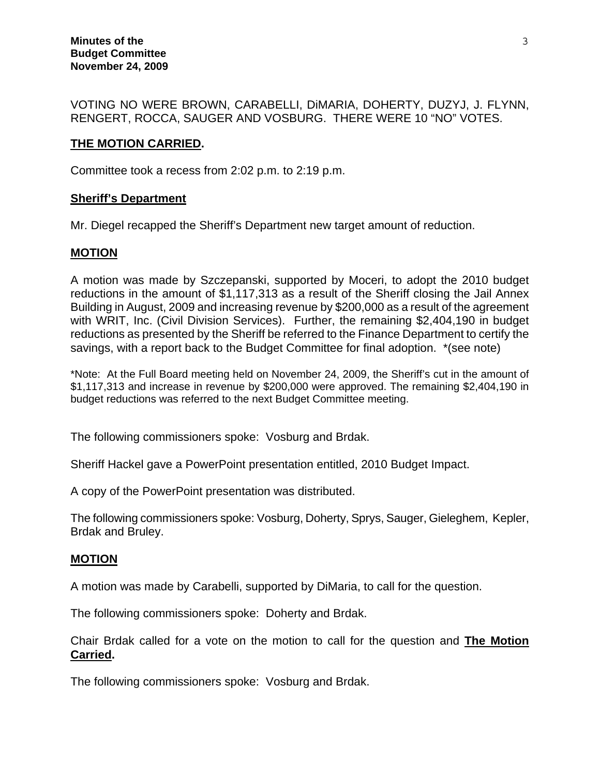VOTING NO WERE BROWN, CARABELLI, DiMARIA, DOHERTY, DUZYJ, J. FLYNN, RENGERT, ROCCA, SAUGER AND VOSBURG. THERE WERE 10 "NO" VOTES.

### **THE MOTION CARRIED.**

Committee took a recess from 2:02 p.m. to 2:19 p.m.

#### **Sheriff's Department**

Mr. Diegel recapped the Sheriff's Department new target amount of reduction.

#### **MOTION**

A motion was made by Szczepanski, supported by Moceri, to adopt the 2010 budget reductions in the amount of \$1,117,313 as a result of the Sheriff closing the Jail Annex Building in August, 2009 and increasing revenue by \$200,000 as a result of the agreement with WRIT, Inc. (Civil Division Services). Further, the remaining \$2,404,190 in budget reductions as presented by the Sheriff be referred to the Finance Department to certify the savings, with a report back to the Budget Committee for final adoption. \*(see note)

\*Note: At the Full Board meeting held on November 24, 2009, the Sheriff's cut in the amount of \$1,117,313 and increase in revenue by \$200,000 were approved. The remaining \$2,404,190 in budget reductions was referred to the next Budget Committee meeting.

The following commissioners spoke: Vosburg and Brdak.

Sheriff Hackel gave a PowerPoint presentation entitled, 2010 Budget Impact.

A copy of the PowerPoint presentation was distributed.

The following commissioners spoke: Vosburg, Doherty, Sprys, Sauger, Gieleghem, Kepler, Brdak and Bruley.

#### **MOTION**

A motion was made by Carabelli, supported by DiMaria, to call for the question.

The following commissioners spoke: Doherty and Brdak.

Chair Brdak called for a vote on the motion to call for the question and **The Motion Carried.** 

The following commissioners spoke: Vosburg and Brdak.